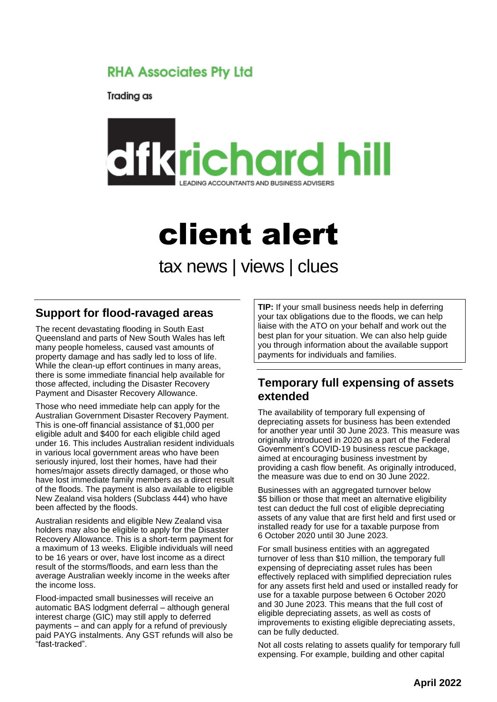# **RHA Associates Pty Ltd**

**Trading as** 



# client alert

tax news | views | clues

#### **Support for flood-ravaged areas**

The recent devastating flooding in South East Queensland and parts of New South Wales has left many people homeless, caused vast amounts of property damage and has sadly led to loss of life. While the clean-up effort continues in many areas, there is some immediate financial help available for those affected, including the Disaster Recovery Payment and Disaster Recovery Allowance.

Those who need immediate help can apply for the Australian Government Disaster Recovery Payment. This is one-off financial assistance of \$1,000 per eligible adult and \$400 for each eligible child aged under 16. This includes Australian resident individuals in various local government areas who have been seriously injured, lost their homes, have had their homes/major assets directly damaged, or those who have lost immediate family members as a direct result of the floods. The payment is also available to eligible New Zealand visa holders (Subclass 444) who have been affected by the floods.

Australian residents and eligible New Zealand visa holders may also be eligible to apply for the Disaster Recovery Allowance. This is a short-term payment for a maximum of 13 weeks. Eligible individuals will need to be 16 years or over, have lost income as a direct result of the storms/floods, and earn less than the average Australian weekly income in the weeks after the income loss.

Flood-impacted small businesses will receive an automatic BAS lodgment deferral – although general interest charge (GIC) may still apply to deferred payments – and can apply for a refund of previously paid PAYG instalments. Any GST refunds will also be "fast-tracked".

**TIP:** If your small business needs help in deferring your tax obligations due to the floods, we can help liaise with the ATO on your behalf and work out the best plan for your situation. We can also help guide you through information about the available support payments for individuals and families.

#### **Temporary full expensing of assets extended**

The availability of temporary full expensing of depreciating assets for business has been extended for another year until 30 June 2023. This measure was originally introduced in 2020 as a part of the Federal Government's COVID-19 business rescue package, aimed at encouraging business investment by providing a cash flow benefit. As originally introduced, the measure was due to end on 30 June 2022.

Businesses with an aggregated turnover below \$5 billion or those that meet an alternative eligibility test can deduct the full cost of eligible depreciating assets of any value that are first held and first used or installed ready for use for a taxable purpose from 6 October 2020 until 30 June 2023.

For small business entities with an aggregated turnover of less than \$10 million, the temporary full expensing of depreciating asset rules has been effectively replaced with simplified depreciation rules for any assets first held and used or installed ready for use for a taxable purpose between 6 October 2020 and 30 June 2023. This means that the full cost of eligible depreciating assets, as well as costs of improvements to existing eligible depreciating assets, can be fully deducted.

Not all costs relating to assets qualify for temporary full expensing. For example, building and other capital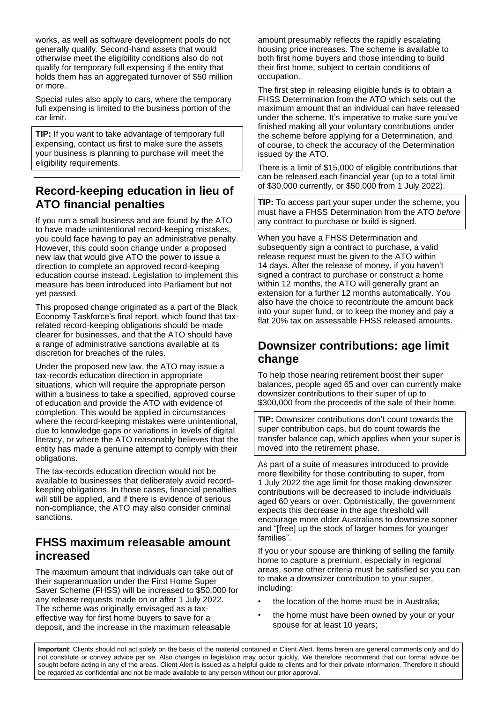works, as well as software development pools do not generally qualify. Second-hand assets that would otherwise meet the eligibility conditions also do not qualify for temporary full expensing if the entity that holds them has an aggregated turnover of \$50 million or more.

Special rules also apply to cars, where the temporary full expensing is limited to the business portion of the car limit.

**TIP:** If you want to take advantage of temporary full expensing, contact us first to make sure the assets your business is planning to purchase will meet the eligibility requirements.

### **Record-keeping education in lieu of ATO financial penalties**

If you run a small business and are found by the ATO to have made unintentional record-keeping mistakes, you could face having to pay an administrative penalty. However, this could soon change under a proposed new law that would give ATO the power to issue a direction to complete an approved record-keeping education course instead. Legislation to implement this measure has been introduced into Parliament but not yet passed.

This proposed change originated as a part of the Black Economy Taskforce's final report, which found that taxrelated record-keeping obligations should be made clearer for businesses, and that the ATO should have a range of administrative sanctions available at its discretion for breaches of the rules.

Under the proposed new law, the ATO may issue a tax-records education direction in appropriate situations, which will require the appropriate person within a business to take a specified, approved course of education and provide the ATO with evidence of completion. This would be applied in circumstances where the record-keeping mistakes were unintentional, due to knowledge gaps or variations in levels of digital literacy, or where the ATO reasonably believes that the entity has made a genuine attempt to comply with their obligations.

The tax-records education direction would not be available to businesses that deliberately avoid recordkeeping obligations. In those cases, financial penalties will still be applied, and if there is evidence of serious non-compliance, the ATO may also consider criminal sanctions.

## **FHSS maximum releasable amount increased**

The maximum amount that individuals can take out of their superannuation under the First Home Super Saver Scheme (FHSS) will be increased to \$50,000 for any release requests made on or after 1 July 2022. The scheme was originally envisaged as a taxeffective way for first home buyers to save for a deposit, and the increase in the maximum releasable

amount presumably reflects the rapidly escalating housing price increases. The scheme is available to both first home buyers and those intending to build their first home, subject to certain conditions of occupation.

The first step in releasing eligible funds is to obtain a FHSS Determination from the ATO which sets out the maximum amount that an individual can have released under the scheme. It's imperative to make sure you've finished making all your voluntary contributions under the scheme before applying for a Determination, and of course, to check the accuracy of the Determination issued by the ATO.

There is a limit of \$15,000 of eligible contributions that can be released each financial year (up to a total limit of \$30,000 currently, or \$50,000 from 1 July 2022).

**TIP:** To access part your super under the scheme, you must have a FHSS Determination from the ATO *before* any contract to purchase or build is signed.

When you have a FHSS Determination and subsequently sign a contract to purchase, a valid release request must be given to the ATO within 14 days. After the release of money, if you haven't signed a contract to purchase or construct a home within 12 months, the ATO will generally grant an extension for a further 12 months automatically. You also have the choice to recontribute the amount back into your super fund, or to keep the money and pay a flat 20% tax on assessable FHSS released amounts.

# **Downsizer contributions: age limit change**

To help those nearing retirement boost their super balances, people aged 65 and over can currently make downsizer contributions to their super of up to \$300,000 from the proceeds of the sale of their home.

**TIP:** Downsizer contributions don't count towards the super contribution caps, but do count towards the transfer balance cap, which applies when your super is moved into the retirement phase.

As part of a suite of measures introduced to provide more flexibility for those contributing to super, from 1 July 2022 the age limit for those making downsizer contributions will be decreased to include individuals aged 60 years or over. Optimistically, the government expects this decrease in the age threshold will encourage more older Australians to downsize sooner and "[free] up the stock of larger homes for younger families".

If you or your spouse are thinking of selling the family home to capture a premium, especially in regional areas, some other criteria must be satisfied so you can to make a downsizer contribution to your super, including:

- the location of the home must be in Australia;
- the home must have been owned by your or your spouse for at least 10 years;

**Important**: Clients should not act solely on the basis of the material contained in Client Alert. Items herein are general comments only and do not constitute or convey advice per se. Also changes in legislation may occur quickly. We therefore recommend that our formal advice be sought before acting in any of the areas. Client Alert is issued as a helpful quide to clients and for their private information. Therefore it should be regarded as confidential and not be made available to any person without our prior approval.